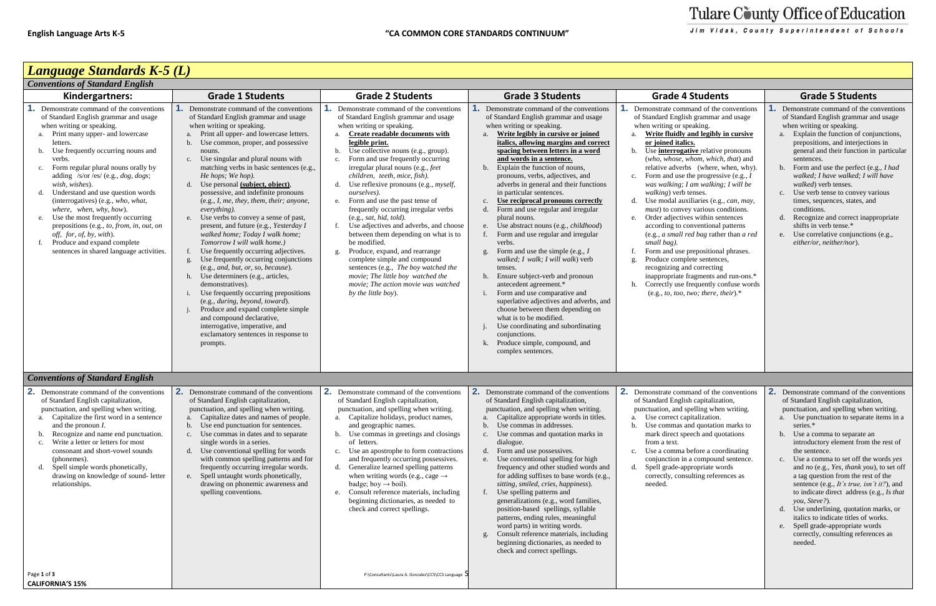

| <b>Conventions of Standard English</b>                                                                                                                                                                                                                                                                                                                                                                                                                                                                                                                                                                                                         |                                                                                                                                                                                                                                                                                                                                                                                                                                                                                                                                                                                                                                                                                                                                                                                                                                                                                                                                                                                                                                                                                                  |                                                                                                                                                                                                                                                                                                                                                                                                                                                                                                                                                                                                                                                                                                                                                                                                                                 |                                                                                                                                                                                                                                                                                                                                                                                                                                                                                                                                                                                                                                                                                                                                                                                                                                                                                                                                                                                                                                                               |                                                                                                                                                                                                                                                                                                                                                                                                                                                                                                                                                                                                                                                                                                                                                                                                                                                                                             |                                                                                                                                                                                                                                                                                                                                                                                                                                                                                                                                                                                                                                                                                                        |
|------------------------------------------------------------------------------------------------------------------------------------------------------------------------------------------------------------------------------------------------------------------------------------------------------------------------------------------------------------------------------------------------------------------------------------------------------------------------------------------------------------------------------------------------------------------------------------------------------------------------------------------------|--------------------------------------------------------------------------------------------------------------------------------------------------------------------------------------------------------------------------------------------------------------------------------------------------------------------------------------------------------------------------------------------------------------------------------------------------------------------------------------------------------------------------------------------------------------------------------------------------------------------------------------------------------------------------------------------------------------------------------------------------------------------------------------------------------------------------------------------------------------------------------------------------------------------------------------------------------------------------------------------------------------------------------------------------------------------------------------------------|---------------------------------------------------------------------------------------------------------------------------------------------------------------------------------------------------------------------------------------------------------------------------------------------------------------------------------------------------------------------------------------------------------------------------------------------------------------------------------------------------------------------------------------------------------------------------------------------------------------------------------------------------------------------------------------------------------------------------------------------------------------------------------------------------------------------------------|---------------------------------------------------------------------------------------------------------------------------------------------------------------------------------------------------------------------------------------------------------------------------------------------------------------------------------------------------------------------------------------------------------------------------------------------------------------------------------------------------------------------------------------------------------------------------------------------------------------------------------------------------------------------------------------------------------------------------------------------------------------------------------------------------------------------------------------------------------------------------------------------------------------------------------------------------------------------------------------------------------------------------------------------------------------|---------------------------------------------------------------------------------------------------------------------------------------------------------------------------------------------------------------------------------------------------------------------------------------------------------------------------------------------------------------------------------------------------------------------------------------------------------------------------------------------------------------------------------------------------------------------------------------------------------------------------------------------------------------------------------------------------------------------------------------------------------------------------------------------------------------------------------------------------------------------------------------------|--------------------------------------------------------------------------------------------------------------------------------------------------------------------------------------------------------------------------------------------------------------------------------------------------------------------------------------------------------------------------------------------------------------------------------------------------------------------------------------------------------------------------------------------------------------------------------------------------------------------------------------------------------------------------------------------------------|
| Kindergartners:                                                                                                                                                                                                                                                                                                                                                                                                                                                                                                                                                                                                                                | <b>Grade 1 Students</b>                                                                                                                                                                                                                                                                                                                                                                                                                                                                                                                                                                                                                                                                                                                                                                                                                                                                                                                                                                                                                                                                          | <b>Grade 2 Students</b>                                                                                                                                                                                                                                                                                                                                                                                                                                                                                                                                                                                                                                                                                                                                                                                                         | <b>Grade 3 Students</b>                                                                                                                                                                                                                                                                                                                                                                                                                                                                                                                                                                                                                                                                                                                                                                                                                                                                                                                                                                                                                                       | <b>Grade 4 Students</b>                                                                                                                                                                                                                                                                                                                                                                                                                                                                                                                                                                                                                                                                                                                                                                                                                                                                     | <b>Grade 5 Students</b>                                                                                                                                                                                                                                                                                                                                                                                                                                                                                                                                                                                                                                                                                |
| Demonstrate command of the conventions<br>of Standard English grammar and usage<br>when writing or speaking.<br>Print many upper- and lowercase<br>letters.<br>Use frequently occurring nouns and<br>b.<br>verbs.<br>Form regular plural nouns orally by<br>$\mathbf{c}$ .<br>adding /s/or /es/ (e.g., $dog$ , $dog$ s;<br>wish, wishes).<br>Understand and use question words<br>(interrogatives) (e.g., who, what,<br>where, when, why, how).<br>Use the most frequently occurring<br>e.<br>prepositions (e.g., to, from, in, out, on<br>off, for, of, by, with).<br>Produce and expand complete<br>sentences in shared language activities. | Demonstrate command of the conventions<br>of Standard English grammar and usage<br>when writing or speaking.<br>Print all upper- and lowercase letters.<br>Use common, proper, and possessive<br>$\mathbf{b}$ .<br>nouns.<br>Use singular and plural nouns with<br>c.<br>matching verbs in basic sentences (e.g.,<br>He hops; We hop).<br>Use personal <i>(subject, object)</i> ,<br>d.<br>possessive, and indefinite pronouns<br>(e.g., I, me, they, them, their; anyone,<br>everything).<br>Use verbs to convey a sense of past,<br>e.<br>present, and future (e.g., Yesterday I<br>walked home; Today I walk home;<br>Tomorrow I will walk home.)<br>Use frequently occurring adjectives.<br>Use frequently occurring conjunctions<br>$\mathbf{g}$ .<br>(e.g., and, but, or, so, because).<br>Use determiners (e.g., articles,<br>h.<br>demonstratives).<br>Use frequently occurring prepositions<br>(e.g., during, beyond, toward).<br>Produce and expand complete simple<br>and compound declarative,<br>interrogative, imperative, and<br>exclamatory sentences in response to<br>prompts. | Demonstrate command of the conventions<br>of Standard English grammar and usage<br>when writing or speaking.<br>Create readable documents with<br>legible print.<br>b. Use collective nouns (e.g., group).<br>Form and use frequently occurring<br>c.<br>irregular plural nouns (e.g., feet<br>children, teeth, mice, fish).<br>Use reflexive pronouns (e.g., <i>myself</i> ,<br>d.<br>ourselves).<br>e. Form and use the past tense of<br>frequently occurring irregular verbs<br>(e.g., sat, hid, told).<br>Use adjectives and adverbs, and choose<br>between them depending on what is to<br>be modified.<br>Produce, expand, and rearrange<br>g.<br>complete simple and compound<br>sentences (e.g., The boy watched the<br>movie; The little boy watched the<br>movie; The action movie was watched<br>by the little boy). | Demonstrate command of the conventions<br>of Standard English grammar and usage<br>when writing or speaking.<br>Write legibly in cursive or joined<br>a.<br>italics, allowing margins and correct<br>spacing between letters in a word<br>and words in a sentence.<br>Explain the function of nouns,<br>b.<br>pronouns, verbs, adjectives, and<br>adverbs in general and their functions<br>in particular sentences.<br>Use reciprocal pronouns correctly<br>$c_{\cdot}$<br>d. Form and use regular and irregular<br>plural nouns.<br>e. Use abstract nouns (e.g., <i>childhood</i> )<br>f. Form and use regular and irregular<br>verbs.<br>Form and use the simple (e.g., I<br>g.<br>walked; I walk; I will walk) verb<br>tenses.<br>Ensure subject-verb and pronoun<br>h.<br>antecedent agreement.*<br>Form and use comparative and<br>superlative adjectives and adverbs, and<br>choose between them depending on<br>what is to be modified.<br>Use coordinating and subordinating<br>conjunctions.<br>Produce simple, compound, and<br>complex sentences. | Demonstrate command of the conventions<br>of Standard English grammar and usage<br>when writing or speaking.<br>Write fluidly and legibly in cursive<br>or joined italics.<br>b. Use <b>interrogative</b> relative pronouns<br>(who, whose, whom, which, that) and<br>relative adverbs (where, when, why).<br>Form and use the progressive (e.g., $I$<br>c.<br>was walking; I am walking; I will be<br>walking) verb tenses.<br>Use modal auxiliaries (e.g., can, may,<br>must) to convey various conditions.<br>Order adjectives within sentences<br>e.<br>according to conventional patterns<br>(e.g., a small red bag rather than a red<br>small bag).<br>Form and use prepositional phrases.<br>Produce complete sentences,<br>recognizing and correcting<br>inappropriate fragments and run-ons.*<br>Correctly use frequently confuse words<br>(e.g., to, too, two; there, their). $*$ | Demonstrate command of the conventions<br>of Standard English grammar and usage<br>when writing or speaking.<br>a. Explain the function of conjunctions,<br>prepositions, and interjections in<br>general and their function in particular<br>sentences.<br>b. Form and use the perfect (e.g., I had<br>walked; I have walked; I will have<br><i>walked</i> ) verb tenses.<br>c. Use verb tense to convey various<br>times, sequences, states, and<br>conditions.<br>d. Recognize and correct inappropriate<br>shifts in verb tense.*<br>e. Use correlative conjunctions (e.g.,<br>either/or, neither/nor).                                                                                            |
| <b>Conventions of Standard English</b>                                                                                                                                                                                                                                                                                                                                                                                                                                                                                                                                                                                                         |                                                                                                                                                                                                                                                                                                                                                                                                                                                                                                                                                                                                                                                                                                                                                                                                                                                                                                                                                                                                                                                                                                  |                                                                                                                                                                                                                                                                                                                                                                                                                                                                                                                                                                                                                                                                                                                                                                                                                                 |                                                                                                                                                                                                                                                                                                                                                                                                                                                                                                                                                                                                                                                                                                                                                                                                                                                                                                                                                                                                                                                               |                                                                                                                                                                                                                                                                                                                                                                                                                                                                                                                                                                                                                                                                                                                                                                                                                                                                                             |                                                                                                                                                                                                                                                                                                                                                                                                                                                                                                                                                                                                                                                                                                        |
| 2.<br>Demonstrate command of the conventions<br>of Standard English capitalization,<br>punctuation, and spelling when writing.<br>a. Capitalize the first word in a sentence<br>and the pronoun I.<br>Recognize and name end punctuation.<br>b.<br>Write a letter or letters for most<br>c.<br>consonant and short-vowel sounds<br>(phonemes).<br>Spell simple words phonetically,<br>d.<br>drawing on knowledge of sound-letter<br>relationships.                                                                                                                                                                                             | 2.<br>Demonstrate command of the conventions<br>of Standard English capitalization,<br>punctuation, and spelling when writing.<br>Capitalize dates and names of people.<br>a.<br>b.<br>Use end punctuation for sentences.<br>Use commas in dates and to separate<br>c.<br>single words in a series.<br>d. Use conventional spelling for words<br>with common spelling patterns and for<br>frequently occurring irregular words.<br>e. Spell untaught words phonetically,<br>drawing on phonemic awareness and<br>spelling conventions.                                                                                                                                                                                                                                                                                                                                                                                                                                                                                                                                                           | $\mathbf{2}$<br>Demonstrate command of the conventions<br>of Standard English capitalization,<br>punctuation, and spelling when writing.<br>a. Capitalize holidays, product names,<br>and geographic names.<br>b. Use commas in greetings and closings<br>of letters.<br>c. Use an apostrophe to form contractions<br>and frequently occurring possessives.<br>d. Generalize learned spelling patterns<br>when writing words (e.g., cage $\rightarrow$<br>badge; boy $\rightarrow$ boil).<br>Consult reference materials, including<br>e.<br>beginning dictionaries, as needed to<br>check and correct spellings.                                                                                                                                                                                                               | <b>2.</b> Demonstrate command of the conventions<br>of Standard English capitalization,<br>punctuation, and spelling when writing.<br>a. Capitalize appropriate words in titles.<br>Use commas in addresses.<br>c. Use commas and quotation marks in<br>dialogue.<br>d. Form and use possessives.<br>e. Use conventional spelling for high<br>frequency and other studied words and<br>for adding suffixes to base words (e.g.,<br>sitting, smiled, cries, happiness).<br>f. Use spelling patterns and<br>generalizations (e.g., word families,<br>position-based spellings, syllable<br>patterns, ending rules, meaningful<br>word parts) in writing words.<br>Consult reference materials, including<br>g.<br>beginning dictionaries, as needed to<br>check and correct spellings.                                                                                                                                                                                                                                                                          | <b>2.</b> Demonstrate command of the conventions<br>of Standard English capitalization,<br>punctuation, and spelling when writing.<br>a. Use correct capitalization.<br>Use commas and quotation marks to<br>mark direct speech and quotations<br>from a text.<br>Use a comma before a coordinating<br>c.<br>conjunction in a compound sentence.<br>Spell grade-appropriate words<br>correctly, consulting references as<br>needed.                                                                                                                                                                                                                                                                                                                                                                                                                                                         | 2.<br>Demonstrate command of the conventions<br>of Standard English capitalization,<br>punctuation, and spelling when writing.<br>a. Use punctuation to separate items in a<br>series.*<br>b. Use a comma to separate an<br>introductory element from the rest of<br>the sentence.<br>c. Use a comma to set off the words yes<br>and no (e.g., Yes, thank you), to set off<br>a tag question from the rest of the<br>sentence (e.g., It's true, isn't it?), and<br>to indicate direct address (e.g., Is that<br>you, Steve?).<br>d. Use underlining, quotation marks, or<br>italics to indicate titles of works.<br>e. Spell grade-appropriate words<br>correctly, consulting references as<br>needed. |
| Page 1 of 3<br><b>CALIFORNIA'S 15%</b>                                                                                                                                                                                                                                                                                                                                                                                                                                                                                                                                                                                                         |                                                                                                                                                                                                                                                                                                                                                                                                                                                                                                                                                                                                                                                                                                                                                                                                                                                                                                                                                                                                                                                                                                  | P:\Consultants\Laura A. Gonzalez\CCS\CCS Language >                                                                                                                                                                                                                                                                                                                                                                                                                                                                                                                                                                                                                                                                                                                                                                             |                                                                                                                                                                                                                                                                                                                                                                                                                                                                                                                                                                                                                                                                                                                                                                                                                                                                                                                                                                                                                                                               |                                                                                                                                                                                                                                                                                                                                                                                                                                                                                                                                                                                                                                                                                                                                                                                                                                                                                             |                                                                                                                                                                                                                                                                                                                                                                                                                                                                                                                                                                                                                                                                                                        |

## Tulare County Office of Education

Jim Vidak, County Superintendent of Schools

| <b>Grade 4 Students</b>                                                                                                                                                                                                                                                                                                                                                                                                                                                                                                                                                                                                                                                                                                                                                                                                                                                                                                         | <b>Grade 5 Students</b>                                                                                                                                                                                                                                                                                                                                                                                                                                                                                                                                                                                                                                                                                            |  |  |  |
|---------------------------------------------------------------------------------------------------------------------------------------------------------------------------------------------------------------------------------------------------------------------------------------------------------------------------------------------------------------------------------------------------------------------------------------------------------------------------------------------------------------------------------------------------------------------------------------------------------------------------------------------------------------------------------------------------------------------------------------------------------------------------------------------------------------------------------------------------------------------------------------------------------------------------------|--------------------------------------------------------------------------------------------------------------------------------------------------------------------------------------------------------------------------------------------------------------------------------------------------------------------------------------------------------------------------------------------------------------------------------------------------------------------------------------------------------------------------------------------------------------------------------------------------------------------------------------------------------------------------------------------------------------------|--|--|--|
| 1.<br>Demonstrate command of the conventions<br>of Standard English grammar and usage<br>when writing or speaking.<br>Write fluidly and legibly in cursive<br>a.<br>or joined italics.<br>Use <i>interrogative</i> relative pronouns<br>b.<br>(who, whose, whom, which, that) and<br>relative adverbs (where, when, why).<br>Form and use the progressive (e.g., $I$<br>c.<br>was walking; I am walking; I will be<br>walking) verb tenses.<br>Use modal auxiliaries (e.g., can, may,<br>d.<br>must) to convey various conditions.<br>Order adjectives within sentences<br>e.<br>according to conventional patterns<br>(e.g., a small red bag rather than a red<br>small bag).<br>f.<br>Form and use prepositional phrases.<br>Produce complete sentences,<br>g.<br>recognizing and correcting<br>inappropriate fragments and run-ons.*<br>Correctly use frequently confuse words<br>h.<br>(e.g., to, too, two; there, their).* | 1.<br>Demonstrate command of the conventions<br>of Standard English grammar and usage<br>when writing or speaking.<br>Explain the function of conjunctions,<br>a.<br>prepositions, and interjections in<br>general and their function in particular<br>sentences.<br>Form and use the perfect (e.g., I had<br>b.<br>walked; I have walked; I will have<br>walked) verb tenses.<br>Use verb tense to convey various<br>c.<br>times, sequences, states, and<br>conditions.<br>Recognize and correct inappropriate<br>d.<br>shifts in verb tense.*<br>Use correlative conjunctions (e.g.,<br>e.<br>either/or, neither/nor).                                                                                           |  |  |  |
|                                                                                                                                                                                                                                                                                                                                                                                                                                                                                                                                                                                                                                                                                                                                                                                                                                                                                                                                 |                                                                                                                                                                                                                                                                                                                                                                                                                                                                                                                                                                                                                                                                                                                    |  |  |  |
| 2.<br>Demonstrate command of the conventions<br>of Standard English capitalization,<br>punctuation, and spelling when writing.<br>Use correct capitalization.<br>a.<br>Use commas and quotation marks to<br>b.<br>mark direct speech and quotations<br>from a text.<br>Use a comma before a coordinating<br>c.<br>conjunction in a compound sentence.<br>Spell grade-appropriate words<br>d.<br>correctly, consulting references as<br>needed.                                                                                                                                                                                                                                                                                                                                                                                                                                                                                  | 2. Demonstrate command of the conventions<br>of Standard English capitalization,<br>punctuation, and spelling when writing.<br>a.<br>Use punctuation to separate items in a<br>series.*<br>Use a comma to separate an<br>b.<br>introductory element from the rest of<br>the sentence.<br>Use a comma to set off the words yes<br>c.<br>and no (e.g., Yes, thank you), to set off<br>a tag question from the rest of the<br>sentence (e.g., It's true, isn't it?), and<br>to indicate direct address (e.g., Is that<br>you, Steve?).<br>Use underlining, quotation marks, or<br>d.<br>italics to indicate titles of works.<br>Spell grade-appropriate words<br>e.<br>correctly, consulting references as<br>needed. |  |  |  |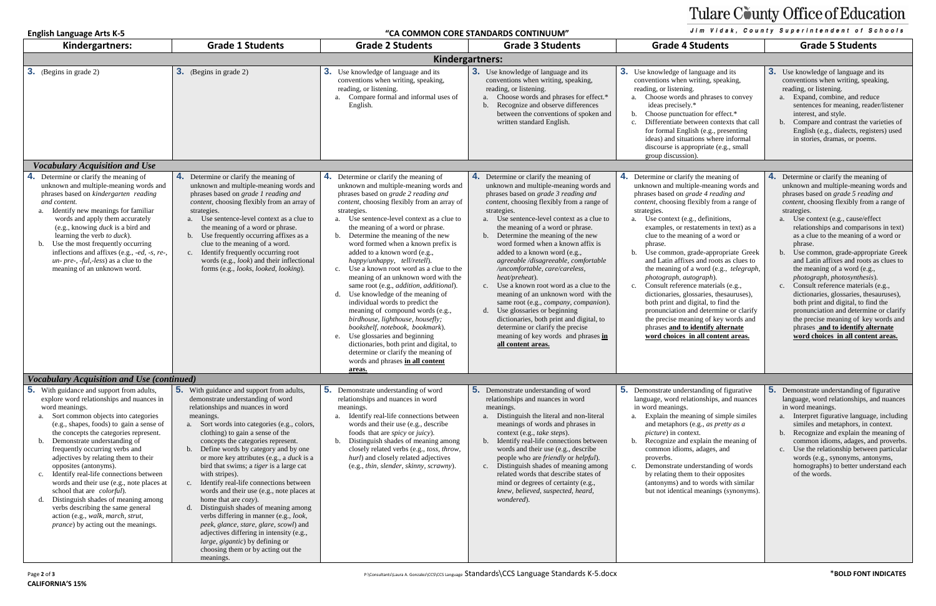### **English Language Arts K-5 "CA COMMON CORE STANDARDS CONTINUUM"**

# Tulare County Office of Education

### Jim Vidak, County Superintendent of Schools

| Kindergartners:                                                                                                                                                                                                                                                                                                                                                                                                                                                                                                                                                                                                                                                          | <b>Grade 1 Students</b>                                                                                                                                                                                                                                                                                                                                                                                                                                                                                                                                                                                                                                                                                                                                                                                      | <b>Grade 2 Students</b>                                                                                                                                                                                                                                                                                                                                                                                                                                                                                                                                                                                                                                                                                                                                                                                                                                                                                                          | <b>Grade 3 Students</b>                                                                                                                                                                                                                                                                                                                                                                                                                                                                                                                                                                                                                                                                                                                                                                           | <b>Grade 4 Students</b>                                                                                                                                                                                                                                                                                                                                                                                                                                                                                                                                                                                                                                                                                                                                                           | <b>Grade 5 Students</b>                                                                                                                                                                                                                                                                                                                                                                                                                                                                                                                                                                                                                                                                                                                                              |  |
|--------------------------------------------------------------------------------------------------------------------------------------------------------------------------------------------------------------------------------------------------------------------------------------------------------------------------------------------------------------------------------------------------------------------------------------------------------------------------------------------------------------------------------------------------------------------------------------------------------------------------------------------------------------------------|--------------------------------------------------------------------------------------------------------------------------------------------------------------------------------------------------------------------------------------------------------------------------------------------------------------------------------------------------------------------------------------------------------------------------------------------------------------------------------------------------------------------------------------------------------------------------------------------------------------------------------------------------------------------------------------------------------------------------------------------------------------------------------------------------------------|----------------------------------------------------------------------------------------------------------------------------------------------------------------------------------------------------------------------------------------------------------------------------------------------------------------------------------------------------------------------------------------------------------------------------------------------------------------------------------------------------------------------------------------------------------------------------------------------------------------------------------------------------------------------------------------------------------------------------------------------------------------------------------------------------------------------------------------------------------------------------------------------------------------------------------|---------------------------------------------------------------------------------------------------------------------------------------------------------------------------------------------------------------------------------------------------------------------------------------------------------------------------------------------------------------------------------------------------------------------------------------------------------------------------------------------------------------------------------------------------------------------------------------------------------------------------------------------------------------------------------------------------------------------------------------------------------------------------------------------------|-----------------------------------------------------------------------------------------------------------------------------------------------------------------------------------------------------------------------------------------------------------------------------------------------------------------------------------------------------------------------------------------------------------------------------------------------------------------------------------------------------------------------------------------------------------------------------------------------------------------------------------------------------------------------------------------------------------------------------------------------------------------------------------|----------------------------------------------------------------------------------------------------------------------------------------------------------------------------------------------------------------------------------------------------------------------------------------------------------------------------------------------------------------------------------------------------------------------------------------------------------------------------------------------------------------------------------------------------------------------------------------------------------------------------------------------------------------------------------------------------------------------------------------------------------------------|--|
| Kindergartners:                                                                                                                                                                                                                                                                                                                                                                                                                                                                                                                                                                                                                                                          |                                                                                                                                                                                                                                                                                                                                                                                                                                                                                                                                                                                                                                                                                                                                                                                                              |                                                                                                                                                                                                                                                                                                                                                                                                                                                                                                                                                                                                                                                                                                                                                                                                                                                                                                                                  |                                                                                                                                                                                                                                                                                                                                                                                                                                                                                                                                                                                                                                                                                                                                                                                                   |                                                                                                                                                                                                                                                                                                                                                                                                                                                                                                                                                                                                                                                                                                                                                                                   |                                                                                                                                                                                                                                                                                                                                                                                                                                                                                                                                                                                                                                                                                                                                                                      |  |
| <b>3.</b> (Begins in grade 2)                                                                                                                                                                                                                                                                                                                                                                                                                                                                                                                                                                                                                                            | <b>3.</b> (Begins in grade 2)                                                                                                                                                                                                                                                                                                                                                                                                                                                                                                                                                                                                                                                                                                                                                                                | 3.<br>Use knowledge of language and its<br>conventions when writing, speaking,<br>reading, or listening.<br>Compare formal and informal uses of<br>English.                                                                                                                                                                                                                                                                                                                                                                                                                                                                                                                                                                                                                                                                                                                                                                      | <b>3.</b> Use knowledge of language and its<br>conventions when writing, speaking,<br>reading, or listening.<br>a. Choose words and phrases for effect.*<br>b. Recognize and observe differences<br>between the conventions of spoken and<br>written standard English.                                                                                                                                                                                                                                                                                                                                                                                                                                                                                                                            | <b>3.</b> Use knowledge of language and its<br>conventions when writing, speaking,<br>reading, or listening.<br>a. Choose words and phrases to convey<br>ideas precisely.*<br>Choose punctuation for effect.*<br>b.<br>Differentiate between contexts that call<br>for formal English (e.g., presenting<br>ideas) and situations where informal<br>discourse is appropriate (e.g., small<br>group discussion).                                                                                                                                                                                                                                                                                                                                                                    | <b>3.</b> Use knowledge of language and its<br>conventions when writing, speaking,<br>reading, or listening.<br>Expand, combine, and reduce<br>sentences for meaning, reader/listener<br>interest, and style.<br>Compare and contrast the varieties of<br>English (e.g., dialects, registers) used<br>in stories, dramas, or poems.                                                                                                                                                                                                                                                                                                                                                                                                                                  |  |
| <b>Vocabulary Acquisition and Use</b>                                                                                                                                                                                                                                                                                                                                                                                                                                                                                                                                                                                                                                    |                                                                                                                                                                                                                                                                                                                                                                                                                                                                                                                                                                                                                                                                                                                                                                                                              |                                                                                                                                                                                                                                                                                                                                                                                                                                                                                                                                                                                                                                                                                                                                                                                                                                                                                                                                  |                                                                                                                                                                                                                                                                                                                                                                                                                                                                                                                                                                                                                                                                                                                                                                                                   |                                                                                                                                                                                                                                                                                                                                                                                                                                                                                                                                                                                                                                                                                                                                                                                   |                                                                                                                                                                                                                                                                                                                                                                                                                                                                                                                                                                                                                                                                                                                                                                      |  |
| 4.<br>Determine or clarify the meaning of<br>unknown and multiple-meaning words and<br>phrases based on kindergarten reading<br>and content.<br>Identify new meanings for familiar<br>words and apply them accurately<br>(e.g., knowing $duck$ is a bird and<br>learning the verb to duck).<br>Use the most frequently occurring<br>inflections and affixes (e.g., -ed, -s, re-,<br>un- pre-, -ful,-less) as a clue to the<br>meaning of an unknown word.                                                                                                                                                                                                                | 4. Determine or clarify the meaning of<br>unknown and multiple-meaning words and<br>phrases based on grade 1 reading and<br>content, choosing flexibly from an array of<br>strategies.<br>Use sentence-level context as a clue to<br>a.<br>the meaning of a word or phrase.<br>b. Use frequently occurring affixes as a<br>clue to the meaning of a word.<br>c. Identify frequently occurring root<br>words (e.g., look) and their inflectional<br>forms (e.g., looks, looked, looking).                                                                                                                                                                                                                                                                                                                     | 4.<br>Determine or clarify the meaning of<br>unknown and multiple-meaning words and<br>phrases based on grade 2 reading and<br>content, choosing flexibly from an array of<br>strategies.<br>Use sentence-level context as a clue to<br>$\mathbf{a}$ .<br>the meaning of a word or phrase.<br>Determine the meaning of the new<br>b.<br>word formed when a known prefix is<br>added to a known word (e.g.,<br>happy/unhappy, tell/retell).<br>Use a known root word as a clue to the<br>c.<br>meaning of an unknown word with the<br>same root (e.g., addition, additional).<br>Use knowledge of the meaning of<br>d.<br>individual words to predict the<br>meaning of compound words (e.g.,<br>birdhouse, lighthouse, housefly;<br>bookshelf, notebook, bookmark).<br>Use glossaries and beginning<br>e.<br>dictionaries, both print and digital, to<br>determine or clarify the meaning of<br>words and phrases in all content | <b>4.</b> Determine or clarify the meaning of<br>unknown and multiple-meaning words and<br>phrases based on grade 3 reading and<br>content, choosing flexibly from a range of<br>strategies.<br>a. Use sentence-level context as a clue to<br>the meaning of a word or phrase.<br>b. Determine the meaning of the new<br>word formed when a known affix is<br>added to a known word (e.g.,<br>agreeable/disagreeable, comfortable<br>/uncomfortable, care/careless,<br>heat/preheat).<br>c. Use a known root word as a clue to the<br>meaning of an unknown word with the<br>same root (e.g., company, companion).<br>d. Use glossaries or beginning<br>dictionaries, both print and digital, to<br>determine or clarify the precise<br>meaning of key words and phrases in<br>all content areas. | 4. Determine or clarify the meaning of<br>unknown and multiple-meaning words and<br>phrases based on grade 4 reading and<br>content, choosing flexibly from a range of<br>strategies.<br>Use context (e.g., definitions,<br>a.<br>examples, or restatements in text) as a<br>clue to the meaning of a word or<br>phrase.<br>Use common, grade-appropriate Greek<br>b.<br>and Latin affixes and roots as clues to<br>the meaning of a word (e.g., telegraph,<br>photograph, autograph).<br>Consult reference materials (e.g.,<br>c.<br>dictionaries, glossaries, thesauruses),<br>both print and digital, to find the<br>pronunciation and determine or clarify<br>the precise meaning of key words and<br>phrases and to identify alternate<br>word choices in all content areas. | <b>4.</b> Determine or clarify the meaning of<br>unknown and multiple-meaning words and<br>phrases based on grade 5 reading and<br>content, choosing flexibly from a range of<br>strategies.<br>Use context (e.g., cause/effect<br>relationships and comparisons in text)<br>as a clue to the meaning of a word or<br>phrase.<br>Use common, grade-appropriate Greek<br>and Latin affixes and roots as clues to<br>the meaning of a word (e.g.,<br>photograph, photosynthesis).<br>Consult reference materials (e.g.,<br>dictionaries, glossaries, thesauruses),<br>both print and digital, to find the<br>pronunciation and determine or clarify<br>the precise meaning of key words and<br>phrases and to identify alternate<br>word choices in all content areas. |  |
| Vocabulary Acquisition and Use (continued)                                                                                                                                                                                                                                                                                                                                                                                                                                                                                                                                                                                                                               |                                                                                                                                                                                                                                                                                                                                                                                                                                                                                                                                                                                                                                                                                                                                                                                                              | areas.                                                                                                                                                                                                                                                                                                                                                                                                                                                                                                                                                                                                                                                                                                                                                                                                                                                                                                                           |                                                                                                                                                                                                                                                                                                                                                                                                                                                                                                                                                                                                                                                                                                                                                                                                   |                                                                                                                                                                                                                                                                                                                                                                                                                                                                                                                                                                                                                                                                                                                                                                                   |                                                                                                                                                                                                                                                                                                                                                                                                                                                                                                                                                                                                                                                                                                                                                                      |  |
| 5.<br>With guidance and support from adults,<br>explore word relationships and nuances in<br>word meanings.<br>Sort common objects into categories<br>(e.g., shapes, foods) to gain a sense of<br>the concepts the categories represent.<br>Demonstrate understanding of<br>frequently occurring verbs and<br>adjectives by relating them to their<br>opposites (antonyms).<br>Identify real-life connections between<br>words and their use (e.g., note places at<br>school that are <i>colorful</i> ).<br>Distinguish shades of meaning among<br>verbs describing the same general<br>action (e.g., walk, march, strut,<br><i>prance</i> ) by acting out the meanings. | 5. With guidance and support from adults,<br>demonstrate understanding of word<br>relationships and nuances in word<br>meanings.<br>a. Sort words into categories (e.g., colors,<br>clothing) to gain a sense of the<br>concepts the categories represent.<br>Define words by category and by one<br>or more key attributes (e.g., a duck is a<br>bird that swims; a <i>tiger</i> is a large cat<br>with stripes).<br>c. Identify real-life connections between<br>words and their use (e.g., note places at<br>home that are <i>cozy</i> ).<br>d. Distinguish shades of meaning among<br>verbs differing in manner (e.g., look,<br>peek, glance, stare, glare, scowl) and<br>adjectives differing in intensity (e.g.,<br>large, gigantic) by defining or<br>choosing them or by acting out the<br>meanings. | <b>5.</b> Demonstrate understanding of word<br>relationships and nuances in word<br>meanings.<br>Identify real-life connections between<br>words and their use (e.g., describe<br>foods that are <i>spicy</i> or <i>juicy</i> ).<br>Distinguish shades of meaning among<br>b.<br>closely related verbs (e.g., toss, throw,<br>hurl) and closely related adjectives<br>(e.g., thin, slender, skinny, scrawny).                                                                                                                                                                                                                                                                                                                                                                                                                                                                                                                    | <b>5.</b> Demonstrate understanding of word<br>relationships and nuances in word<br>meanings.<br>a. Distinguish the literal and non-literal<br>meanings of words and phrases in<br>context (e.g., take steps).<br>b. Identify real-life connections between<br>words and their use (e.g., describe<br>people who are friendly or helpful).<br>c. Distinguish shades of meaning among<br>related words that describe states of<br>mind or degrees of certainty (e.g.,<br>knew, believed, suspected, heard,<br>wondered).                                                                                                                                                                                                                                                                           | <b>5.</b> Demonstrate understanding of figurative<br>language, word relationships, and nuances<br>in word meanings.<br>Explain the meaning of simple similes<br>a.<br>and metaphors (e.g., as pretty as a<br><i>picture</i> ) in context.<br>Recognize and explain the meaning of<br>b.<br>common idioms, adages, and<br>proverbs.<br>Demonstrate understanding of words<br>c.<br>by relating them to their opposites<br>(antonyms) and to words with similar<br>but not identical meanings (synonyms).                                                                                                                                                                                                                                                                           | <b>5.</b> Demonstrate understanding of figurative<br>language, word relationships, and nuances<br>in word meanings.<br>Interpret figurative language, including<br>similes and metaphors, in context.<br>Recognize and explain the meaning of<br>common idioms, adages, and proverbs.<br>Use the relationship between particular<br>words (e.g., synonyms, antonyms,<br>homographs) to better understand each<br>of the words.                                                                                                                                                                                                                                                                                                                                       |  |